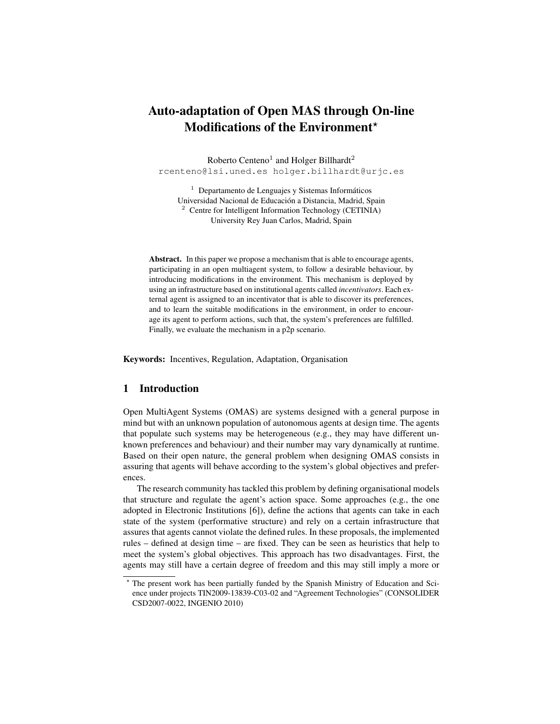# Auto-adaptation of Open MAS through On-line Modifications of the Environment<sup>\*</sup>

Roberto Centeno<sup>1</sup> and Holger Billhardt<sup>2</sup> rcenteno@lsi.uned.es holger.billhardt@urjc.es

 $<sup>1</sup>$  Departamento de Lenguajes y Sistemas Informáticos</sup> Universidad Nacional de Educacion a Distancia, Madrid, Spain ´ <sup>2</sup> Centre for Intelligent Information Technology (CETINIA) University Rey Juan Carlos, Madrid, Spain

Abstract. In this paper we propose a mechanism that is able to encourage agents, participating in an open multiagent system, to follow a desirable behaviour, by introducing modifications in the environment. This mechanism is deployed by using an infrastructure based on institutional agents called *incentivators*. Each external agent is assigned to an incentivator that is able to discover its preferences, and to learn the suitable modifications in the environment, in order to encourage its agent to perform actions, such that, the system's preferences are fulfilled. Finally, we evaluate the mechanism in a p2p scenario.

Keywords: Incentives, Regulation, Adaptation, Organisation

## 1 Introduction

Open MultiAgent Systems (OMAS) are systems designed with a general purpose in mind but with an unknown population of autonomous agents at design time. The agents that populate such systems may be heterogeneous (e.g., they may have different unknown preferences and behaviour) and their number may vary dynamically at runtime. Based on their open nature, the general problem when designing OMAS consists in assuring that agents will behave according to the system's global objectives and preferences.

The research community has tackled this problem by defining organisational models that structure and regulate the agent's action space. Some approaches (e.g., the one adopted in Electronic Institutions [6]), define the actions that agents can take in each state of the system (performative structure) and rely on a certain infrastructure that assures that agents cannot violate the defined rules. In these proposals, the implemented rules – defined at design time – are fixed. They can be seen as heuristics that help to meet the system's global objectives. This approach has two disadvantages. First, the agents may still have a certain degree of freedom and this may still imply a more or

The present work has been partially funded by the Spanish Ministry of Education and Science under projects TIN2009-13839-C03-02 and "Agreement Technologies" (CONSOLIDER CSD2007-0022, INGENIO 2010)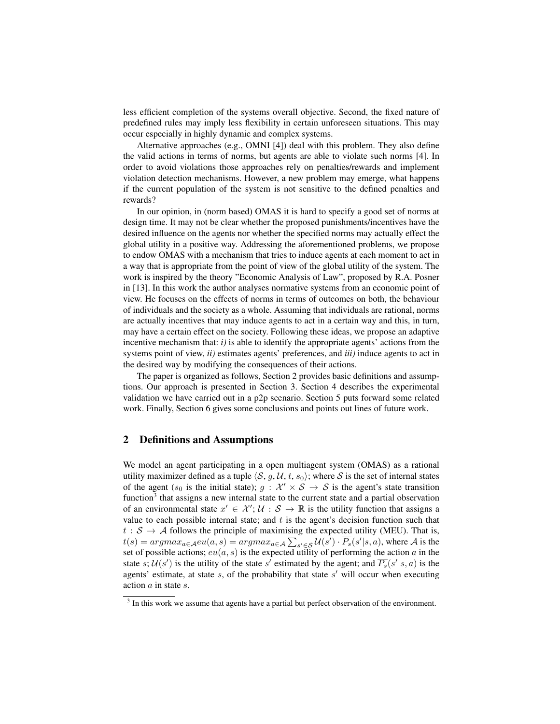less efficient completion of the systems overall objective. Second, the fixed nature of predefined rules may imply less flexibility in certain unforeseen situations. This may occur especially in highly dynamic and complex systems.

Alternative approaches (e.g., OMNI [4]) deal with this problem. They also define the valid actions in terms of norms, but agents are able to violate such norms [4]. In order to avoid violations those approaches rely on penalties/rewards and implement violation detection mechanisms. However, a new problem may emerge, what happens if the current population of the system is not sensitive to the defined penalties and rewards?

In our opinion, in (norm based) OMAS it is hard to specify a good set of norms at design time. It may not be clear whether the proposed punishments/incentives have the desired influence on the agents nor whether the specified norms may actually effect the global utility in a positive way. Addressing the aforementioned problems, we propose to endow OMAS with a mechanism that tries to induce agents at each moment to act in a way that is appropriate from the point of view of the global utility of the system. The work is inspired by the theory "Economic Analysis of Law", proposed by R.A. Posner in [13]. In this work the author analyses normative systems from an economic point of view. He focuses on the effects of norms in terms of outcomes on both, the behaviour of individuals and the society as a whole. Assuming that individuals are rational, norms are actually incentives that may induce agents to act in a certain way and this, in turn, may have a certain effect on the society. Following these ideas, we propose an adaptive incentive mechanism that:  $i$ ) is able to identify the appropriate agents' actions from the systems point of view, *ii)* estimates agents' preferences, and *iii)* induce agents to act in the desired way by modifying the consequences of their actions.

The paper is organized as follows, Section 2 provides basic definitions and assumptions. Our approach is presented in Section 3. Section 4 describes the experimental validation we have carried out in a p2p scenario. Section 5 puts forward some related work. Finally, Section 6 gives some conclusions and points out lines of future work.

# 2 Definitions and Assumptions

We model an agent participating in a open multiagent system (OMAS) as a rational utility maximizer defined as a tuple  $\langle S, g, U, t, s_0 \rangle$ ; where S is the set of internal states of the agent ( $s_0$  is the initial state);  $g : \mathcal{X}' \times \mathcal{S} \to \mathcal{S}$  is the agent's state transition function<sup>3</sup> that assigns a new internal state to the current state and a partial observation of an environmental state  $x' \in \mathcal{X}'$ ;  $\mathcal{U}: \mathcal{S} \to \mathbb{R}$  is the utility function that assigns a value to each possible internal state; and  $t$  is the agent's decision function such that  $t : S \to A$  follows the principle of maximising the expected utility (MEU). That is,  $t(s) = argmax_{a \in \mathcal{A}} eu(a, s) = argmax_{a \in \mathcal{A}} \sum_{s' \in \mathcal{S}} \mathcal{U}(s') \cdot \overline{P_s}(s'|s, a)$ , where  $\mathcal{A}$  is the set of possible actions;  $eu(a, s)$  is the expected utility of performing the action a in the state s;  $\mathcal{U}(s')$  is the utility of the state s' estimated by the agent; and  $\overline{P_s}(s'|s, a)$  is the agents' estimate, at state  $s$ , of the probability that state  $s'$  will occur when executing action a in state s.

 $3$  In this work we assume that agents have a partial but perfect observation of the environment.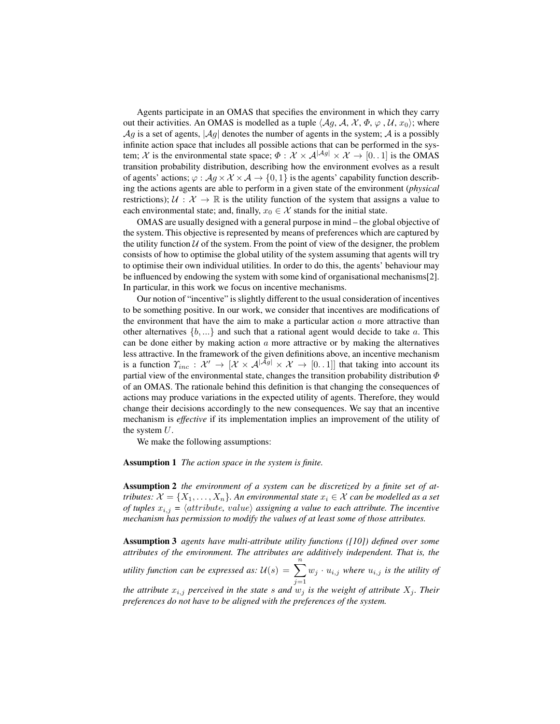Agents participate in an OMAS that specifies the environment in which they carry out their activities. An OMAS is modelled as a tuple  $\langle Aq, \mathcal{A}, \mathcal{X}, \Phi, \varphi, \mathcal{U}, x_0 \rangle$ ; where  $\mathcal{A}g$  is a set of agents,  $|\mathcal{A}g|$  denotes the number of agents in the system;  $\mathcal{A}$  is a possibly infinite action space that includes all possible actions that can be performed in the system; X is the environmental state space;  $\Phi : \mathcal{X} \times \mathcal{A}^{|\mathcal{A}g|} \times \mathcal{X} \to [0, 1]$  is the OMAS transition probability distribution, describing how the environment evolves as a result of agents' actions;  $\varphi : \mathcal{A}g \times \mathcal{X} \times \mathcal{A} \rightarrow \{0,1\}$  is the agents' capability function describing the actions agents are able to perform in a given state of the environment (*physical* restrictions);  $\mathcal{U}: \mathcal{X} \to \mathbb{R}$  is the utility function of the system that assigns a value to each environmental state; and, finally,  $x_0 \in \mathcal{X}$  stands for the initial state.

OMAS are usually designed with a general purpose in mind – the global objective of the system. This objective is represented by means of preferences which are captured by the utility function  $U$  of the system. From the point of view of the designer, the problem consists of how to optimise the global utility of the system assuming that agents will try to optimise their own individual utilities. In order to do this, the agents' behaviour may be influenced by endowing the system with some kind of organisational mechanisms[2]. In particular, in this work we focus on incentive mechanisms.

Our notion of "incentive" is slightly different to the usual consideration of incentives to be something positive. In our work, we consider that incentives are modifications of the environment that have the aim to make a particular action  $a$  more attractive than other alternatives  $\{b, \ldots\}$  and such that a rational agent would decide to take a. This can be done either by making action  $a$  more attractive or by making the alternatives less attractive. In the framework of the given definitions above, an incentive mechanism is a function  $\varUpsilon_{inc} : \mathcal{X}' \to [\mathcal{X} \times \mathcal{A}^{|\mathcal{A}g|} \times \mathcal{X} \to [0, 1]]$  that taking into account its partial view of the environmental state, changes the transition probability distribution  $\Phi$ of an OMAS. The rationale behind this definition is that changing the consequences of actions may produce variations in the expected utility of agents. Therefore, they would change their decisions accordingly to the new consequences. We say that an incentive mechanism is *effective* if its implementation implies an improvement of the utility of the system  $U$ .

We make the following assumptions:

### Assumption 1 *The action space in the system is finite.*

Assumption 2 *the environment of a system can be discretized by a finite set of attributes:*  $\mathcal{X} = \{X_1, \ldots, X_n\}$ . An environmental state  $x_i \in \mathcal{X}$  can be modelled as a set *of tuples*  $x_{i,j} = \langle attribute, value \rangle$  *assigning a value to each attribute. The incentive mechanism has permission to modify the values of at least some of those attributes.*

Assumption 3 *agents have multi-attribute utility functions ([10]) defined over some attributes of the environment. The attributes are additively independent. That is, the utility function can be expressed as:*  $\mathcal{U}(s) = \sum_{n=1}^n$  $j=1$  $w_j \cdot u_{i,j}$  where  $u_{i,j}$  *is the utility of the attribute*  $x_{i,j}$  *perceived in the state s and*  $w_j$  *is the weight of attribute*  $X_j$ *. Their preferences do not have to be aligned with the preferences of the system.*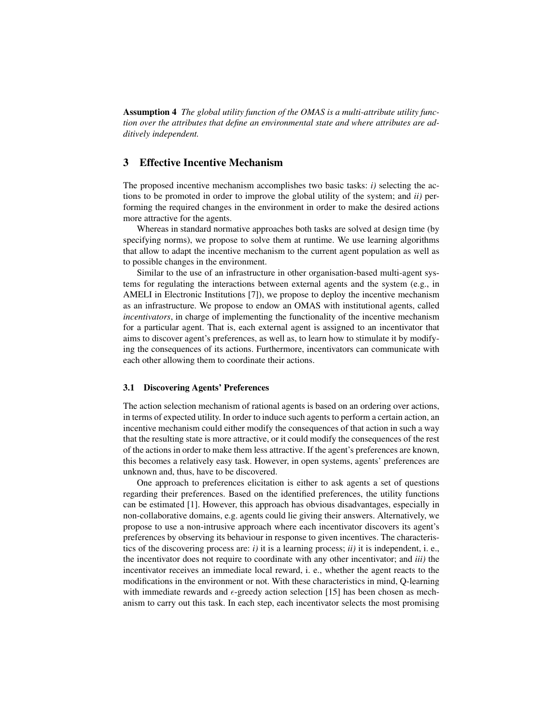Assumption 4 *The global utility function of the OMAS is a multi-attribute utility function over the attributes that define an environmental state and where attributes are additively independent.*

# 3 Effective Incentive Mechanism

The proposed incentive mechanism accomplishes two basic tasks: *i)* selecting the actions to be promoted in order to improve the global utility of the system; and *ii)* performing the required changes in the environment in order to make the desired actions more attractive for the agents.

Whereas in standard normative approaches both tasks are solved at design time (by specifying norms), we propose to solve them at runtime. We use learning algorithms that allow to adapt the incentive mechanism to the current agent population as well as to possible changes in the environment.

Similar to the use of an infrastructure in other organisation-based multi-agent systems for regulating the interactions between external agents and the system (e.g., in AMELI in Electronic Institutions [7]), we propose to deploy the incentive mechanism as an infrastructure. We propose to endow an OMAS with institutional agents, called *incentivators*, in charge of implementing the functionality of the incentive mechanism for a particular agent. That is, each external agent is assigned to an incentivator that aims to discover agent's preferences, as well as, to learn how to stimulate it by modifying the consequences of its actions. Furthermore, incentivators can communicate with each other allowing them to coordinate their actions.

### 3.1 Discovering Agents' Preferences

The action selection mechanism of rational agents is based on an ordering over actions, in terms of expected utility. In order to induce such agents to perform a certain action, an incentive mechanism could either modify the consequences of that action in such a way that the resulting state is more attractive, or it could modify the consequences of the rest of the actions in order to make them less attractive. If the agent's preferences are known, this becomes a relatively easy task. However, in open systems, agents' preferences are unknown and, thus, have to be discovered.

One approach to preferences elicitation is either to ask agents a set of questions regarding their preferences. Based on the identified preferences, the utility functions can be estimated [1]. However, this approach has obvious disadvantages, especially in non-collaborative domains, e.g. agents could lie giving their answers. Alternatively, we propose to use a non-intrusive approach where each incentivator discovers its agent's preferences by observing its behaviour in response to given incentives. The characteristics of the discovering process are: *i)* it is a learning process; *ii)* it is independent, i. e., the incentivator does not require to coordinate with any other incentivator; and *iii)* the incentivator receives an immediate local reward, i. e., whether the agent reacts to the modifications in the environment or not. With these characteristics in mind, Q-learning with immediate rewards and  $\epsilon$ -greedy action selection [15] has been chosen as mechanism to carry out this task. In each step, each incentivator selects the most promising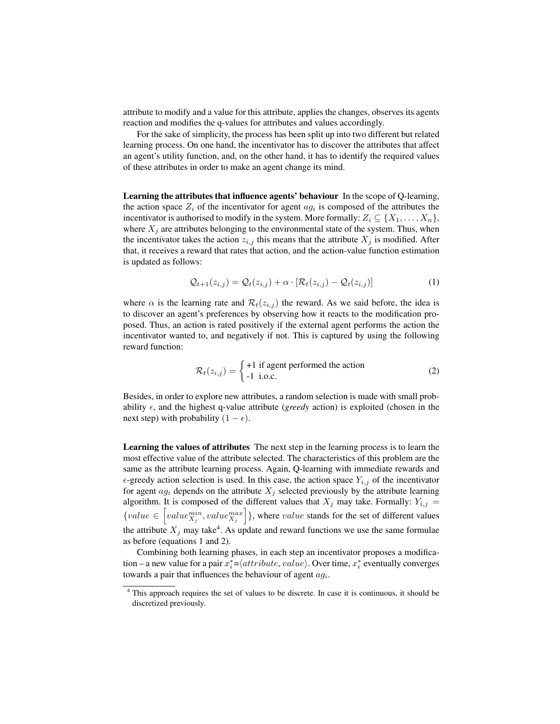attribute to modify and a value for this attribute, applies the changes, observes its agents reaction and modifies the q-values for attributes and values accordingly.

For the sake of simplicity, the process has been split up into two different but related learning process. On one hand, the incentivator has to discover the attributes that affect an agent's utility function, and, on the other hand, it has to identify the required values of these attributes in order to make an agent change its mind.

Learning the attributes that influence agents' behaviour In the scope of Q-learning, the action space  $Z_i$  of the incentivator for agent  $ag_i$  is composed of the attributes the incentivator is authorised to modify in the system. More formally:  $Z_i \subseteq \{X_1, \ldots, X_n\}$ , where  $X_i$  are attributes belonging to the environmental state of the system. Thus, when the incentivator takes the action  $z_{i,j}$  this means that the attribute  $X_j$  is modified. After that, it receives a reward that rates that action, and the action-value function estimation is updated as follows:

$$
\mathcal{Q}_{t+1}(z_{i,j}) = \mathcal{Q}_t(z_{i,j}) + \alpha \cdot [\mathcal{R}_t(z_{i,j}) - \mathcal{Q}_t(z_{i,j})]
$$
(1)

where  $\alpha$  is the learning rate and  $\mathcal{R}_t(z_{i,j})$  the reward. As we said before, the idea is to discover an agent's preferences by observing how it reacts to the modification proposed. Thus, an action is rated positively if the external agent performs the action the incentivator wanted to, and negatively if not. This is captured by using the following reward function:

$$
\mathcal{R}_t(z_{i,j}) = \begin{cases} +1 \text{ if agent performed the action} \\ -1 \text{ i.o.c.} \end{cases}
$$
 (2)

Besides, in order to explore new attributes, a random selection is made with small probability  $\epsilon$ , and the highest q-value attribute (*greedy* action) is exploited (chosen in the next step) with probability  $(1 - \epsilon)$ .

Learning the values of attributes The next step in the learning process is to learn the most effective value of the attribute selected. The characteristics of this problem are the same as the attribute learning process. Again, Q-learning with immediate rewards and  $\epsilon$ -greedy action selection is used. In this case, the action space  $Y_{i,j}$  of the incentivator for agent  $ag_i$  depends on the attribute  $X_i$  selected previously by the attribute learning algorithm. It is composed of the different values that  $X_j$  may take. Formally:  $Y_{i,j}$  =  ${value \in \left[ value_{X_j}^{min}, value_{X_j}^{max} \right]}$ , where *value* stands for the set of different values the attribute  $X_j$  may take<sup>4</sup>. As update and reward functions we use the same formulae as before (equations 1 and 2).

Combining both learning phases, in each step an incentivator proposes a modification – a new value for a pair  $x_i^* = \langle attribute, value \rangle$ . Over time,  $x_i^*$  eventually converges towards a pair that influences the behaviour of agent  $a g_i$ .

<sup>&</sup>lt;sup>4</sup> This approach requires the set of values to be discrete. In case it is continuous, it should be discretized previously.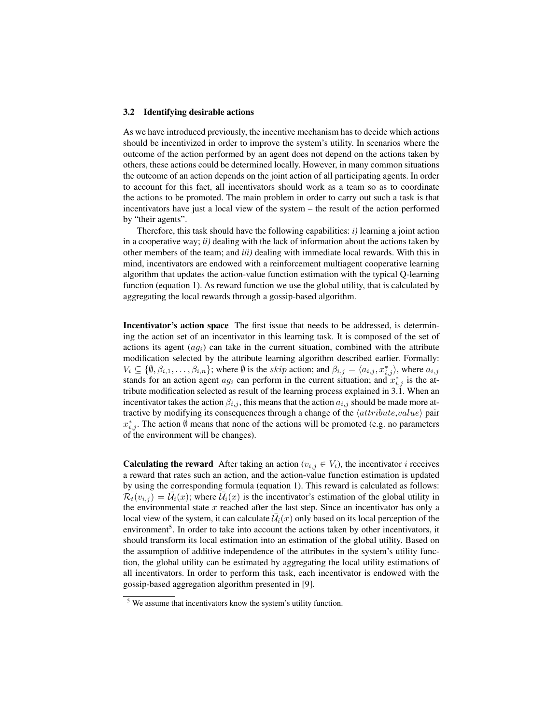### 3.2 Identifying desirable actions

As we have introduced previously, the incentive mechanism has to decide which actions should be incentivized in order to improve the system's utility. In scenarios where the outcome of the action performed by an agent does not depend on the actions taken by others, these actions could be determined locally. However, in many common situations the outcome of an action depends on the joint action of all participating agents. In order to account for this fact, all incentivators should work as a team so as to coordinate the actions to be promoted. The main problem in order to carry out such a task is that incentivators have just a local view of the system – the result of the action performed by "their agents".

Therefore, this task should have the following capabilities: *i)* learning a joint action in a cooperative way; *ii)* dealing with the lack of information about the actions taken by other members of the team; and *iii)* dealing with immediate local rewards. With this in mind, incentivators are endowed with a reinforcement multiagent cooperative learning algorithm that updates the action-value function estimation with the typical Q-learning function (equation 1). As reward function we use the global utility, that is calculated by aggregating the local rewards through a gossip-based algorithm.

Incentivator's action space The first issue that needs to be addressed, is determining the action set of an incentivator in this learning task. It is composed of the set of actions its agent  $(aq_i)$  can take in the current situation, combined with the attribute modification selected by the attribute learning algorithm described earlier. Formally:  $V_i \subseteq \{\emptyset, \beta_{i,1}, \ldots, \beta_{i,n}\}\;$  where  $\emptyset$  is the skip action; and  $\beta_{i,j} = \langle a_{i,j}, x^*_{i,j} \rangle$ , where  $a_{i,j}$ stands for an action agent  $ag_i$  can perform in the current situation; and  $x_{i,j}^*$  is the attribute modification selected as result of the learning process explained in 3.1. When an incentivator takes the action  $\beta_{i,j}$ , this means that the action  $a_{i,j}$  should be made more attractive by modifying its consequences through a change of the  $\langle attribute, value \rangle$  pair  $x_{i,j}^*$ . The action  $\emptyset$  means that none of the actions will be promoted (e.g. no parameters of the environment will be changes).

**Calculating the reward** After taking an action ( $v_{i,j} \in V_i$ ), the incentivator *i* receives a reward that rates such an action, and the action-value function estimation is updated by using the corresponding formula (equation 1). This reward is calculated as follows:  $\overline{\mathcal{R}_t(v_{i,j})} = \overline{\mathcal{U}}_i(x)$ ; where  $\overline{\mathcal{U}}_i(x)$  is the incentivator's estimation of the global utility in the environmental state  $x$  reached after the last step. Since an incentivator has only a local view of the system, it can calculate  $\overline{\mathcal{U}}_i(x)$  only based on its local perception of the environment<sup>5</sup>. In order to take into account the actions taken by other incentivators, it should transform its local estimation into an estimation of the global utility. Based on the assumption of additive independence of the attributes in the system's utility function, the global utility can be estimated by aggregating the local utility estimations of all incentivators. In order to perform this task, each incentivator is endowed with the gossip-based aggregation algorithm presented in [9].

<sup>5</sup> We assume that incentivators know the system's utility function.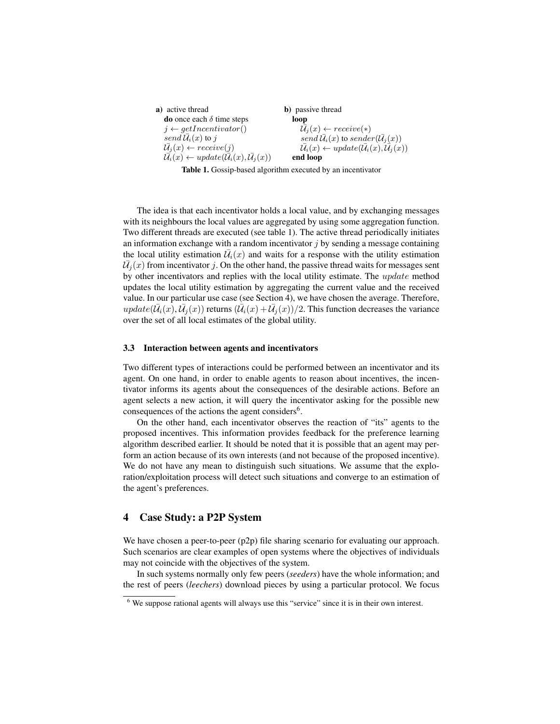a) active thread do once each  $\delta$  time steps  $j \leftarrow getIncentivator()$ send  $\mathcal{U}_i(x)$  to j  $\bar{\mathcal{U}}_i(x) \leftarrow receive(i)$  $\overline{\mathcal{U}}_i(x) \leftarrow update(\overline{\mathcal{U}}_i(x), \overline{\mathcal{U}}_i(x))$ b) passive thread loop  $\bar{\mathcal{U}}_j(x) \leftarrow receive(*)$ send  $\bar{\mathcal{U}}_i(x)$  to sender( $\bar{\mathcal{U}}_j(x)$ )  $\mathcal{U}_i(x) \leftarrow update(\mathcal{U}_i(x), \mathcal{U}_j(x))$ end loop

Table 1. Gossip-based algorithm executed by an incentivator

 $\mathbf{w}$ of the system, which is calculated by aggregating the local rewards of the local rewards the local rewards of the local rewards of the local rewards of the local rewards of the local rewards of the local rewards of the lo  $\mathcal U$  $\mathbf b$ action space is composed of the set of actions its agent (agi) can be set of agent (agi) can be set of agent (agi) can be set of a composed of  $\alpha$  $\frac{1}{\sqrt{1-\frac{1}{\sqrt{1-\frac{1}{\sqrt{1-\frac{1}{\sqrt{1-\frac{1}{\sqrt{1-\frac{1}{\sqrt{1-\frac{1}{\sqrt{1-\frac{1}{\sqrt{1-\frac{1}{\sqrt{1-\frac{1}{\sqrt{1-\frac{1}{\sqrt{1-\frac{1}{\sqrt{1-\frac{1}{\sqrt{1-\frac{1}{\sqrt{1-\frac{1}{\sqrt{1-\frac{1}{\sqrt{1-\frac{1}{\sqrt{1-\frac{1}{\sqrt{1-\frac{1}{\sqrt{1-\frac{1}{\sqrt{1-\frac{1}{\sqrt{1-\frac{1}{\sqrt{1-\frac{1}{\sqrt{1-\frac{1}{\sqrt{1-\frac{1$ tion selected by the attribute learning algorithm described earlier. The idea is that each incentivator holds a local value, and by exchanging messages with its neighbours the local values are aggregated by using some aggregation function. Two different threads are executed (see table 1). The active thread periodically initiates an information exchange with a random incentivator  $j$  by sending a message containing the local utility estimation  $\overline{U}_i(x)$  and waits for a response with the utility estimation  $\overline{U}_j(x)$  from incentivator j. On the other hand, the passive thread waits for messages sent forming the performance performance test performance  $\pi$ by other incentivators and replies with the local utility estimate. The *update* method<br>updates the local utility estimation by aggregating the current value and the required updates the local utility estimation by aggregating the current value and the received value. In our particular use case (see Section 4), we have chosen the average. Therefore,  $update(\overline{\mathcal{U}}_i(x), \overline{\mathcal{U}}_j(x))$  returns  $(\overline{\mathcal{U}}_i(x) + \overline{\mathcal{U}}_j(x))/2$ . This function decreases the variance over the set of all local estimates of the global utility.  $S_{\rm max}$  increases and takes an action, that implies to in-

#### $\overline{3}$ stands for an action agent agent agent agent agent  $\sigma$ 3.3 Interaction between agents and incentivators

i,j is the attribute modification selected as result of the  $\Gamma$  $t$  takes the action  $a_i$ more attractive by modifying its consequences through a change of i, in the incentivator takes the incentivator takes the incentivator takes the incentivator takes the incentiv Two different types of interactions could be performed between an incentivator and its agent. On one hand, in order to enable agents to reason about incentives, the incentivator informs its agents about the consequences of the desirable actions. Before an experiences of the desired to desired agent selects a new action, it will query the incentivator asking for the possible new consequences of the actions the agent considers<sup>6</sup>.

 $\frac{1}{\sqrt{2}}$ ward that rates such an action, and the action, and the action-value function-value function-value function-val timation is updated by using the corresponding formula (equation  $\mathbf{f}$ )  $\overline{v}$ . The reward in the update process is defined as  $\overline{v}$  $\mathbf{t}$ On the other hand, each incentivator observes the reaction of "its" agents to the proposed incentives. This information provides feedback for the preference learning algorithm described earlier. It should be noted that it is possible that an agent may perform an action because of its own interests (and not because of the proposed incentive). We do not have any mean to distinguish such situations. We assume that the explo- $\epsilon$  is neglected and the desirable desirable and agent seration/exploitation process will detect such situations and converge to an estimation of the agent's preferences.

#### $\Delta$  $A$ s we have mentioned before, and incentivator has only a local and  $\alpha$  $\alpha$  the order to discover the agent's preferences the agent's preferences the agent's preferences  $\alpha$ 4 Case Study: a P2P System

 $\overline{u}$ . In order to take into account the actions taken by other incentivations taken by other incentivations,  $S_{\text{in}}$  $\mathbf n$ We have chosen a peer-to-peer (p2p) file sharing scenario for evaluating our approach. Such scenarios are clear examples of open systems where the objectives of individuals been securities are comparison provided by  $\frac{1}{2}$  for  $\frac{1}{2}$  for  $\frac{1}{2}$  for the system.

dence of the attributes in the system's utility function, the global  $\mathbf{u}$ ere near  $\frac{1}{2}$  the showledge that  $\frac{1}{2}$  is regard. In such systems normally only few peers (*seeders*) have the whole information; and the rest of peers (*leechers*) download pieces by using a particular protocol. We focus

 $\epsilon$ incentivator does not have any mechanism to distinguish such a sit- $6$  We suppose rational agents will always use this "service" since it is in their own interest.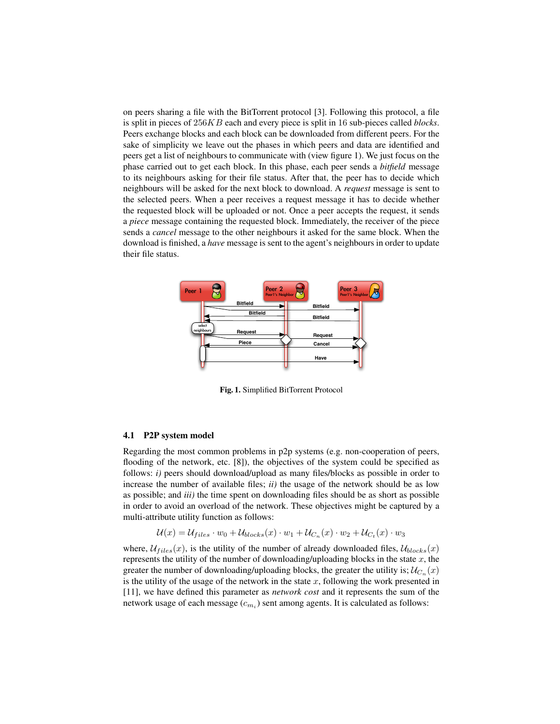on peers sharing a file with the BitTorrent protocol [3]. Following this protocol, a file is split in pieces of 256KB each and every piece is split in 16 sub-pieces called *blocks*. Peers exchange blocks and each block can be downloaded from different peers. For the sake of simplicity we leave out the phases in which peers and data are identified and peers get a list of neighbours to communicate with (view figure 1). We just focus on the phase carried out to get each block. In this phase, each peer sends a *bitfield* message to its neighbours asking for their file status. After that, the peer has to decide which neighbours will be asked for the next block to download. A *request* message is sent to the selected peers. When a peer receives a request message it has to decide whether the requested block will be uploaded or not. Once a peer accepts the request, it sends a *piece* message containing the requested block. Immediately, the receiver of the piece sends a *cancel* message to the other neighbours it asked for the same block. When the download is finished, a *have* message is sent to the agent's neighbours in order to update their file status.



Fig. 1. Simplified BitTorrent Protocol

### 4.1 P2P system model

Regarding the most common problems in p2p systems (e.g. non-cooperation of peers, flooding of the network, etc. [8]), the objectives of the system could be specified as follows: *i*) peers should download/upload as many files/blocks as possible in order to increase the number of available files; *ii)* the usage of the network should be as low as possible; and *iii)* the time spent on downloading files should be as short as possible in order to avoid an overload of the network. These objectives might be captured by a multi-attribute utility function as follows:

$$
\mathcal{U}(x) = \mathcal{U}_{files} \cdot w_0 + \mathcal{U}_{blocks}(x) \cdot w_1 + \mathcal{U}_{C_n}(x) \cdot w_2 + \mathcal{U}_{C_t}(x) \cdot w_3
$$

where,  $\mathcal{U}_{files}(x)$ , is the utility of the number of already downloaded files,  $\mathcal{U}_{blocks}(x)$ represents the utility of the number of downloading/uploading blocks in the state  $x$ , the greater the number of downloading/uploading blocks, the greater the utility is;  $\mathcal{U}_{C_n}(x)$ is the utility of the usage of the network in the state  $x$ , following the work presented in [11], we have defined this parameter as *network cost* and it represents the sum of the network usage of each message  $(c_{m_i})$  sent among agents. It is calculated as follows: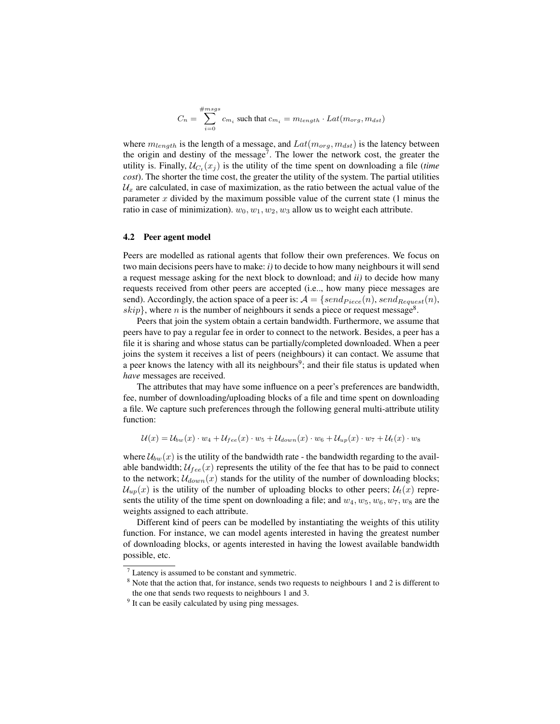$$
C_n = \sum_{i=0}^{\#msgs} c_{m_i} \text{ such that } c_{m_i} = m_{length} \cdot Lat(m_{org},m_{dst})
$$

where  $m_{lenath}$  is the length of a message, and  $Lat(m_{ora}, m_{dst})$  is the latency between the origin and destiny of the message<sup>7</sup>. The lower the network cost, the greater the utility is. Finally,  $U_{C_t}(x_j)$  is the utility of the time spent on downloading a file (*time*) *cost*). The shorter the time cost, the greater the utility of the system. The partial utilities  $\mathcal{U}_r$  are calculated, in case of maximization, as the ratio between the actual value of the parameter  $x$  divided by the maximum possible value of the current state  $(1 \text{ minus the})$ ratio in case of minimization).  $w_0, w_1, w_2, w_3$  allow us to weight each attribute.

### 4.2 Peer agent model

Peers are modelled as rational agents that follow their own preferences. We focus on two main decisions peers have to make: *i)* to decide to how many neighbours it will send a request message asking for the next block to download; and *ii)* to decide how many requests received from other peers are accepted (i.e.., how many piece messages are send). Accordingly, the action space of a peer is:  $A = \{send_{Piece}(n), send_{Request}(n),\}$  $skip$ }, where *n* is the number of neighbours it sends a piece or request message<sup>8</sup>.

Peers that join the system obtain a certain bandwidth. Furthermore, we assume that peers have to pay a regular fee in order to connect to the network. Besides, a peer has a file it is sharing and whose status can be partially/completed downloaded. When a peer joins the system it receives a list of peers (neighbours) it can contact. We assume that a peer knows the latency with all its neighbours<sup>9</sup>; and their file status is updated when *have* messages are received.

The attributes that may have some influence on a peer's preferences are bandwidth, fee, number of downloading/uploading blocks of a file and time spent on downloading a file. We capture such preferences through the following general multi-attribute utility function:

$$
\mathcal{U}(x) = \mathcal{U}_{bw}(x) \cdot w_4 + \mathcal{U}_{fee}(x) \cdot w_5 + \mathcal{U}_{down}(x) \cdot w_6 + \mathcal{U}_{up}(x) \cdot w_7 + \mathcal{U}_{t}(x) \cdot w_8
$$

where  $\mathcal{U}_{bw}(x)$  is the utility of the bandwidth rate - the bandwidth regarding to the available bandwidth;  $\mathcal{U}_{fee}(x)$  represents the utility of the fee that has to be paid to connect to the network;  $U_{down}(x)$  stands for the utility of the number of downloading blocks;  $\mathcal{U}_{un}(x)$  is the utility of the number of uploading blocks to other peers;  $\mathcal{U}_t(x)$  represents the utility of the time spent on downloading a file; and  $w_4, w_5, w_6, w_7, w_8$  are the weights assigned to each attribute.

Different kind of peers can be modelled by instantiating the weights of this utility function. For instance, we can model agents interested in having the greatest number of downloading blocks, or agents interested in having the lowest available bandwidth possible, etc.

 $<sup>7</sup>$  Latency is assumed to be constant and symmetric.</sup>

<sup>&</sup>lt;sup>8</sup> Note that the action that, for instance, sends two requests to neighbours 1 and 2 is different to the one that sends two requests to neighbours 1 and 3.

<sup>&</sup>lt;sup>9</sup> It can be easily calculated by using ping messages.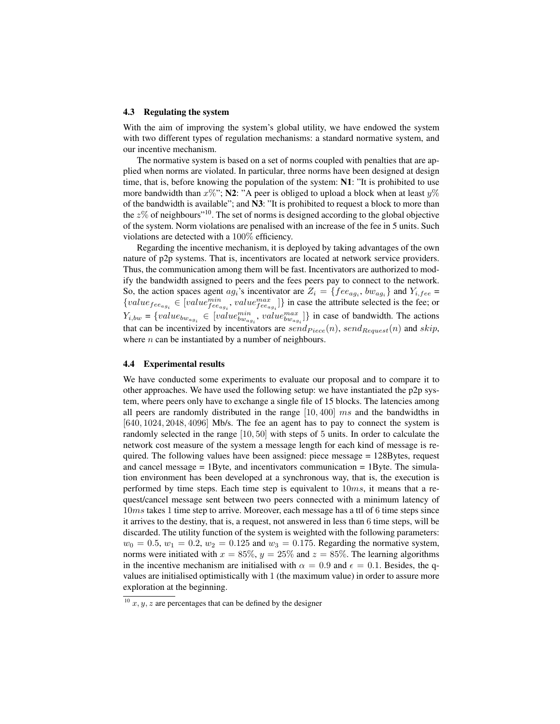### 4.3 Regulating the system

With the aim of improving the system's global utility, we have endowed the system with two different types of regulation mechanisms: a standard normative system, and our incentive mechanism.

The normative system is based on a set of norms coupled with penalties that are applied when norms are violated. In particular, three norms have been designed at design time, that is, before knowing the population of the system: N1: "It is prohibited to use more bandwidth than  $x\%$ "; N2: "A peer is obliged to upload a block when at least  $y\%$ of the bandwidth is available"; and N3: "It is prohibited to request a block to more than the  $z\%$  of neighbours"<sup>10</sup>. The set of norms is designed according to the global objective of the system. Norm violations are penalised with an increase of the fee in 5 units. Such violations are detected with a 100% efficiency.

Regarding the incentive mechanism, it is deployed by taking advantages of the own nature of p2p systems. That is, incentivators are located at network service providers. Thus, the communication among them will be fast. Incentivators are authorized to modify the bandwidth assigned to peers and the fees peers pay to connect to the network. So, the action spaces agent  $ag_i$ 's incentivator are  $Z_i = \{fee_{ag_i}, bw_{ag_i}\}$  and  $Y_{i, fee}$  ${value_{fee_{ag_i}} \in [value_{fee_{ag_i}}^{min}, value_{fee_{ag_i}}^{max}] }$  in case the attribute selected is the fee; or  $Y_{i,bw} = \{value_{bw_{ag_i}} \in [value_{bw_{ag_i}}^{min}, value_{bw_{ag_i}}^{max}] \}$  in case of bandwidth. The actions that can be incentivized by incentivators are  $send_{Piece}(n)$ ,  $send_{Request}(n)$  and  $skip$ , where  $n$  can be instantiated by a number of neighbours.

### 4.4 Experimental results

We have conducted some experiments to evaluate our proposal and to compare it to other approaches. We have used the following setup: we have instantiated the p2p system, where peers only have to exchange a single file of 15 blocks. The latencies among all peers are randomly distributed in the range  $[10, 400]$  ms and the bandwidths in [640, 1024, 2048, 4096] Mb/s. The fee an agent has to pay to connect the system is randomly selected in the range [10, 50] with steps of 5 units. In order to calculate the network cost measure of the system a message length for each kind of message is required. The following values have been assigned: piece message = 128Bytes, request and cancel message  $= 1$  Byte, and incentivators communication  $= 1$  Byte. The simulation environment has been developed at a synchronous way, that is, the execution is performed by time steps. Each time step is equivalent to 10ms, it means that a request/cancel message sent between two peers connected with a minimum latency of 10ms takes 1 time step to arrive. Moreover, each message has a ttl of 6 time steps since it arrives to the destiny, that is, a request, not answered in less than 6 time steps, will be discarded. The utility function of the system is weighted with the following parameters:  $w_0 = 0.5, w_1 = 0.2, w_2 = 0.125$  and  $w_3 = 0.175$ . Regarding the normative system, norms were initiated with  $x = 85\%, y = 25\%$  and  $z = 85\%$ . The learning algorithms in the incentive mechanism are initialised with  $\alpha = 0.9$  and  $\epsilon = 0.1$ . Besides, the qvalues are initialised optimistically with 1 (the maximum value) in order to assure more exploration at the beginning.

<sup>&</sup>lt;sup>10</sup> x, y, z are percentages that can be defined by the designer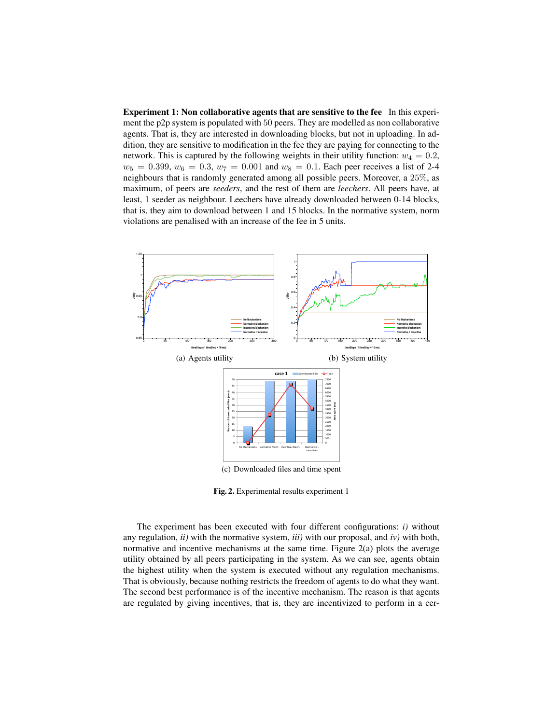Experiment 1: Non collaborative agents that are sensitive to the fee In this experiment the p2p system is populated with 50 peers. They are modelled as non collaborative agents. That is, they are interested in downloading blocks, but not in uploading. In addition, they are sensitive to modification in the fee they are paying for connecting to the network. This is captured by the following weights in their utility function:  $w_4 = 0.2$ ,  $w_5 = 0.399, w_6 = 0.3, w_7 = 0.001$  and  $w_8 = 0.1$ . Each peer receives a list of 2-4 neighbours that is randomly generated among all possible peers. Moreover, a 25%, as maximum, of peers are *seeders*, and the rest of them are *leechers*. All peers have, at least, 1 seeder as neighbour. Leechers have already downloaded between 0-14 blocks, that is, they aim to download between 1 and 15 blocks. In the normative system, norm violations are penalised with an increase of the fee in 5 units.



Fig. 2. Experimental results experiment 1

The experiment has been executed with four different configurations: *i)* without any regulation, *ii)* with the normative system, *iii)* with our proposal, and *iv)* with both, normative and incentive mechanisms at the same time. Figure 2(a) plots the average utility obtained by all peers participating in the system. As we can see, agents obtain the highest utility when the system is executed without any regulation mechanisms. That is obviously, because nothing restricts the freedom of agents to do what they want. The second best performance is of the incentive mechanism. The reason is that agents are regulated by giving incentives, that is, they are incentivized to perform in a cer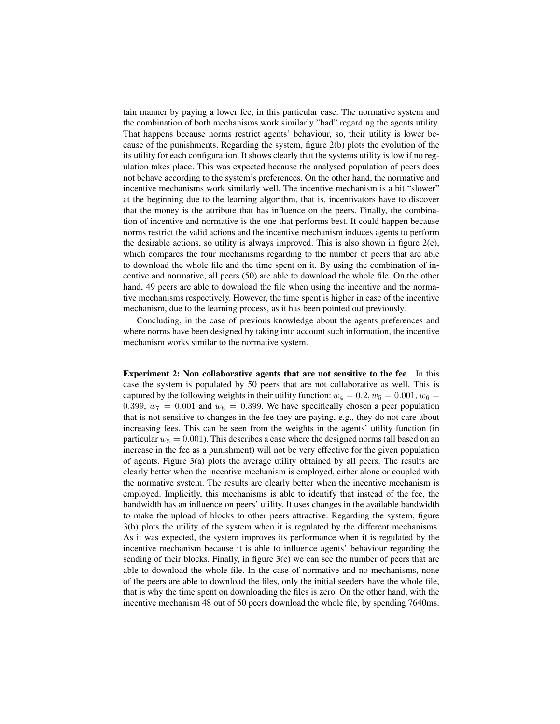tain manner by paying a lower fee, in this particular case. The normative system and the combination of both mechanisms work similarly "bad" regarding the agents utility. That happens because norms restrict agents' behaviour, so, their utility is lower because of the punishments. Regarding the system, figure 2(b) plots the evolution of the its utility for each configuration. It shows clearly that the systems utility is low if no regulation takes place. This was expected because the analysed population of peers does not behave according to the system's preferences. On the other hand, the normative and incentive mechanisms work similarly well. The incentive mechanism is a bit "slower" at the beginning due to the learning algorithm, that is, incentivators have to discover that the money is the attribute that has influence on the peers. Finally, the combination of incentive and normative is the one that performs best. It could happen because norms restrict the valid actions and the incentive mechanism induces agents to perform the desirable actions, so utility is always improved. This is also shown in figure  $2(c)$ , which compares the four mechanisms regarding to the number of peers that are able to download the whole file and the time spent on it. By using the combination of incentive and normative, all peers (50) are able to download the whole file. On the other hand, 49 peers are able to download the file when using the incentive and the normative mechanisms respectively. However, the time spent is higher in case of the incentive mechanism, due to the learning process, as it has been pointed out previously.

Concluding, in the case of previous knowledge about the agents preferences and where norms have been designed by taking into account such information, the incentive mechanism works similar to the normative system.

Experiment 2: Non collaborative agents that are not sensitive to the fee In this case the system is populated by 50 peers that are not collaborative as well. This is captured by the following weights in their utility function:  $w_4 = 0.2, w_5 = 0.001, w_6 = 0.001$ 0.399,  $w_7 = 0.001$  and  $w_8 = 0.399$ . We have specifically chosen a peer population that is not sensitive to changes in the fee they are paying, e.g., they do not care about increasing fees. This can be seen from the weights in the agents' utility function (in particular  $w_5 = 0.001$ ). This describes a case where the designed norms (all based on an increase in the fee as a punishment) will not be very effective for the given population of agents. Figure 3(a) plots the average utility obtained by all peers. The results are clearly better when the incentive mechanism is employed, either alone or coupled with the normative system. The results are clearly better when the incentive mechanism is employed. Implicitly, this mechanisms is able to identify that instead of the fee, the bandwidth has an influence on peers' utility. It uses changes in the available bandwidth to make the upload of blocks to other peers attractive. Regarding the system, figure 3(b) plots the utility of the system when it is regulated by the different mechanisms. As it was expected, the system improves its performance when it is regulated by the incentive mechanism because it is able to influence agents' behaviour regarding the sending of their blocks. Finally, in figure 3(c) we can see the number of peers that are able to download the whole file. In the case of normative and no mechanisms, none of the peers are able to download the files, only the initial seeders have the whole file, that is why the time spent on downloading the files is zero. On the other hand, with the incentive mechanism 48 out of 50 peers download the whole file, by spending 7640ms.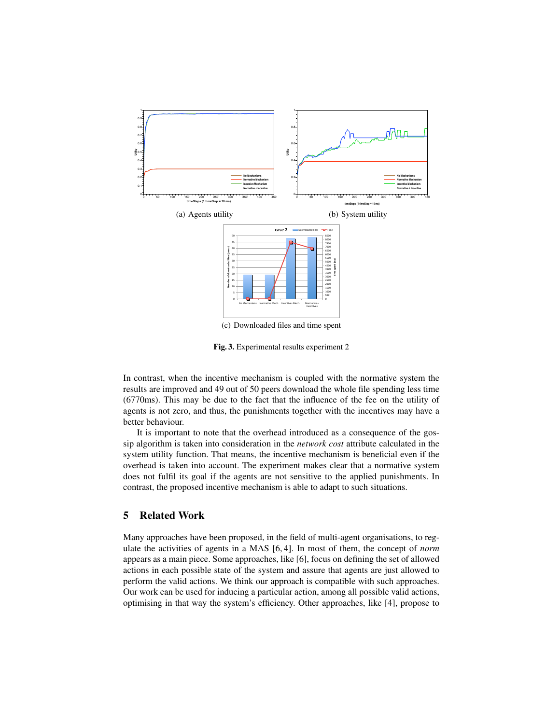

Fig. 3. Experimental results experiment 2

In contrast, when the incentive mechanism is coupled with the normative system the results are improved and 49 out of 50 peers download the whole file spending less time (6770ms). This may be due to the fact that the influence of the fee on the utility of agents is not zero, and thus, the punishments together with the incentives may have a better behaviour.

It is important to note that the overhead introduced as a consequence of the gossip algorithm is taken into consideration in the *network cost* attribute calculated in the system utility function. That means, the incentive mechanism is beneficial even if the overhead is taken into account. The experiment makes clear that a normative system does not fulfil its goal if the agents are not sensitive to the applied punishments. In contrast, the proposed incentive mechanism is able to adapt to such situations.

# 5 Related Work

Many approaches have been proposed, in the field of multi-agent organisations, to regulate the activities of agents in a MAS [6, 4]. In most of them, the concept of *norm* appears as a main piece. Some approaches, like [6], focus on defining the set of allowed actions in each possible state of the system and assure that agents are just allowed to perform the valid actions. We think our approach is compatible with such approaches. Our work can be used for inducing a particular action, among all possible valid actions, optimising in that way the system's efficiency. Other approaches, like [4], propose to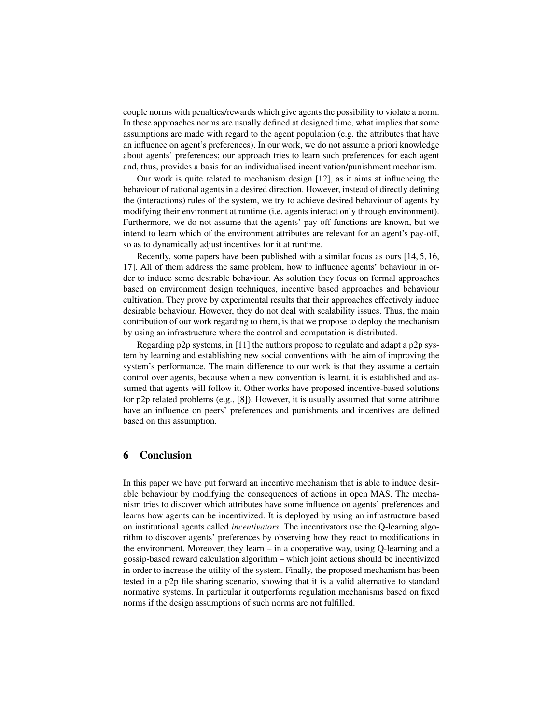couple norms with penalties/rewards which give agents the possibility to violate a norm. In these approaches norms are usually defined at designed time, what implies that some assumptions are made with regard to the agent population (e.g. the attributes that have an influence on agent's preferences). In our work, we do not assume a priori knowledge about agents' preferences; our approach tries to learn such preferences for each agent and, thus, provides a basis for an individualised incentivation/punishment mechanism.

Our work is quite related to mechanism design [12], as it aims at influencing the behaviour of rational agents in a desired direction. However, instead of directly defining the (interactions) rules of the system, we try to achieve desired behaviour of agents by modifying their environment at runtime (i.e. agents interact only through environment). Furthermore, we do not assume that the agents' pay-off functions are known, but we intend to learn which of the environment attributes are relevant for an agent's pay-off, so as to dynamically adjust incentives for it at runtime.

Recently, some papers have been published with a similar focus as ours [14, 5, 16, 17]. All of them address the same problem, how to influence agents' behaviour in order to induce some desirable behaviour. As solution they focus on formal approaches based on environment design techniques, incentive based approaches and behaviour cultivation. They prove by experimental results that their approaches effectively induce desirable behaviour. However, they do not deal with scalability issues. Thus, the main contribution of our work regarding to them, is that we propose to deploy the mechanism by using an infrastructure where the control and computation is distributed.

Regarding p2p systems, in [11] the authors propose to regulate and adapt a p2p system by learning and establishing new social conventions with the aim of improving the system's performance. The main difference to our work is that they assume a certain control over agents, because when a new convention is learnt, it is established and assumed that agents will follow it. Other works have proposed incentive-based solutions for  $p2p$  related problems (e.g., [8]). However, it is usually assumed that some attribute have an influence on peers' preferences and punishments and incentives are defined based on this assumption.

# 6 Conclusion

In this paper we have put forward an incentive mechanism that is able to induce desirable behaviour by modifying the consequences of actions in open MAS. The mechanism tries to discover which attributes have some influence on agents' preferences and learns how agents can be incentivized. It is deployed by using an infrastructure based on institutional agents called *incentivators*. The incentivators use the Q-learning algorithm to discover agents' preferences by observing how they react to modifications in the environment. Moreover, they learn – in a cooperative way, using Q-learning and a gossip-based reward calculation algorithm – which joint actions should be incentivized in order to increase the utility of the system. Finally, the proposed mechanism has been tested in a p2p file sharing scenario, showing that it is a valid alternative to standard normative systems. In particular it outperforms regulation mechanisms based on fixed norms if the design assumptions of such norms are not fulfilled.